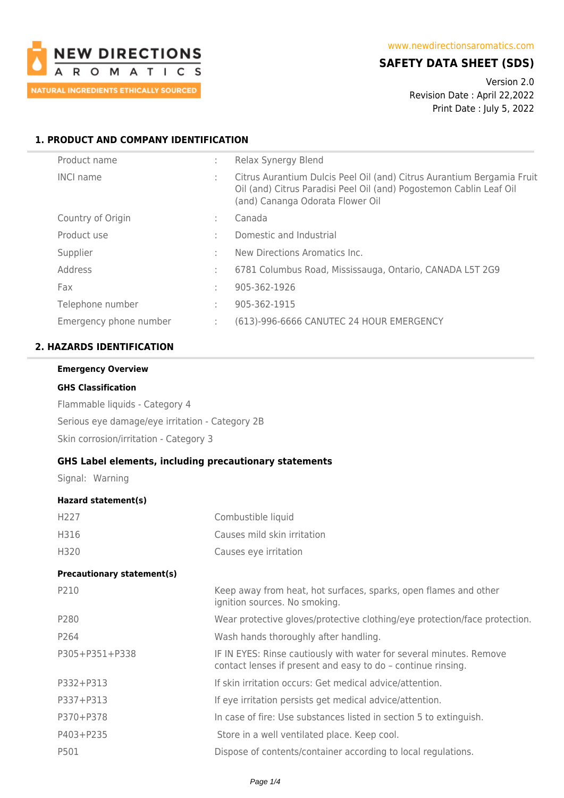

# **SAFETY DATA SHEET (SDS)**

Version 2.0 Revision Date : April 22,2022 Print Date : July 5, 2022

## **1. PRODUCT AND COMPANY IDENTIFICATION**

| Product name           | Relax Synergy Blend                                                                                                                                                               |
|------------------------|-----------------------------------------------------------------------------------------------------------------------------------------------------------------------------------|
| <b>INCI name</b>       | Citrus Aurantium Dulcis Peel Oil (and) Citrus Aurantium Bergamia Fruit<br>Oil (and) Citrus Paradisi Peel Oil (and) Pogostemon Cablin Leaf Oil<br>(and) Cananga Odorata Flower Oil |
| Country of Origin      | Canada                                                                                                                                                                            |
| Product use            | Domestic and Industrial                                                                                                                                                           |
| Supplier               | New Directions Aromatics Inc.                                                                                                                                                     |
| Address                | 6781 Columbus Road, Mississauga, Ontario, CANADA L5T 2G9                                                                                                                          |
| Fax                    | 905-362-1926                                                                                                                                                                      |
| Telephone number       | 905-362-1915                                                                                                                                                                      |
| Emergency phone number | (613)-996-6666 CANUTEC 24 HOUR EMERGENCY                                                                                                                                          |
|                        |                                                                                                                                                                                   |

### **2. HAZARDS IDENTIFICATION**

## **Emergency Overview**

### **GHS Classification**

Flammable liquids - Category 4 Serious eye damage/eye irritation - Category 2B Skin corrosion/irritation - Category 3

## **GHS Label elements, including precautionary statements**

Signal: Warning

### **Hazard statement(s)**

| H <sub>227</sub>                  | Combustible liquid                                                                                                                  |
|-----------------------------------|-------------------------------------------------------------------------------------------------------------------------------------|
| H316                              | Causes mild skin irritation                                                                                                         |
| H320                              | Causes eye irritation                                                                                                               |
| <b>Precautionary statement(s)</b> |                                                                                                                                     |
| P210                              | Keep away from heat, hot surfaces, sparks, open flames and other<br>ignition sources. No smoking.                                   |
| P280                              | Wear protective gloves/protective clothing/eye protection/face protection.                                                          |
| P264                              | Wash hands thoroughly after handling.                                                                                               |
| P305+P351+P338                    | IF IN EYES: Rinse cautiously with water for several minutes. Remove<br>contact lenses if present and easy to do - continue rinsing. |
| P332+P313                         | If skin irritation occurs: Get medical advice/attention.                                                                            |
| P337+P313                         | If eye irritation persists get medical advice/attention.                                                                            |
| P370+P378                         | In case of fire: Use substances listed in section 5 to extinguish.                                                                  |
| P403+P235                         | Store in a well ventilated place. Keep cool.                                                                                        |
| P501                              | Dispose of contents/container according to local regulations.                                                                       |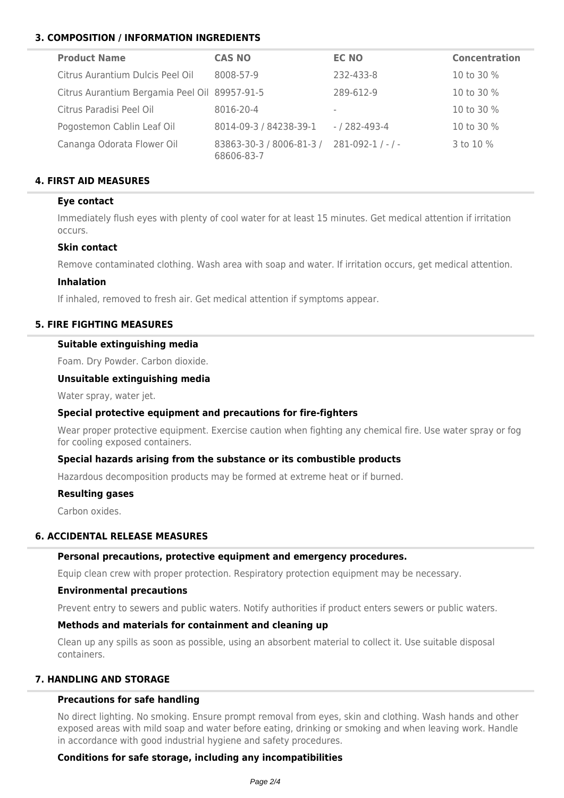# **3. COMPOSITION / INFORMATION INGREDIENTS**

| <b>Product Name</b>                           | <b>CAS NO</b>                          | <b>EC NO</b>  | <b>Concentration</b> |
|-----------------------------------------------|----------------------------------------|---------------|----------------------|
| Citrus Aurantium Dulcis Peel Oil              | 8008-57-9                              | 232-433-8     | 10 to 30 %           |
| Citrus Aurantium Bergamia Peel Oil 89957-91-5 |                                        | 289-612-9     | 10 to 30 %           |
| Citrus Paradisi Peel Oil                      | 8016-20-4                              | $\sim$        | 10 to 30 %           |
| Pogostemon Cablin Leaf Oil                    | 8014-09-3 / 84238-39-1                 | - / 282-493-4 | 10 to 30 %           |
| Cananga Odorata Flower Oil                    | 83863-30-3 / 8006-81-3 /<br>68606-83-7 | $281-092-1/-$ | 3 to 10 %            |

## **4. FIRST AID MEASURES**

## **Eye contact**

Immediately flush eyes with plenty of cool water for at least 15 minutes. Get medical attention if irritation occurs.

### **Skin contact**

Remove contaminated clothing. Wash area with soap and water. If irritation occurs, get medical attention.

### **Inhalation**

If inhaled, removed to fresh air. Get medical attention if symptoms appear.

## **5. FIRE FIGHTING MEASURES**

### **Suitable extinguishing media**

Foam. Dry Powder. Carbon dioxide.

### **Unsuitable extinguishing media**

Water spray, water jet.

## **Special protective equipment and precautions for fire-fighters**

Wear proper protective equipment. Exercise caution when fighting any chemical fire. Use water spray or fog for cooling exposed containers.

## **Special hazards arising from the substance or its combustible products**

Hazardous decomposition products may be formed at extreme heat or if burned.

#### **Resulting gases**

Carbon oxides.

## **6. ACCIDENTAL RELEASE MEASURES**

#### **Personal precautions, protective equipment and emergency procedures.**

Equip clean crew with proper protection. Respiratory protection equipment may be necessary.

#### **Environmental precautions**

Prevent entry to sewers and public waters. Notify authorities if product enters sewers or public waters.

### **Methods and materials for containment and cleaning up**

Clean up any spills as soon as possible, using an absorbent material to collect it. Use suitable disposal containers.

## **7. HANDLING AND STORAGE**

## **Precautions for safe handling**

No direct lighting. No smoking. Ensure prompt removal from eyes, skin and clothing. Wash hands and other exposed areas with mild soap and water before eating, drinking or smoking and when leaving work. Handle in accordance with good industrial hygiene and safety procedures.

## **Conditions for safe storage, including any incompatibilities**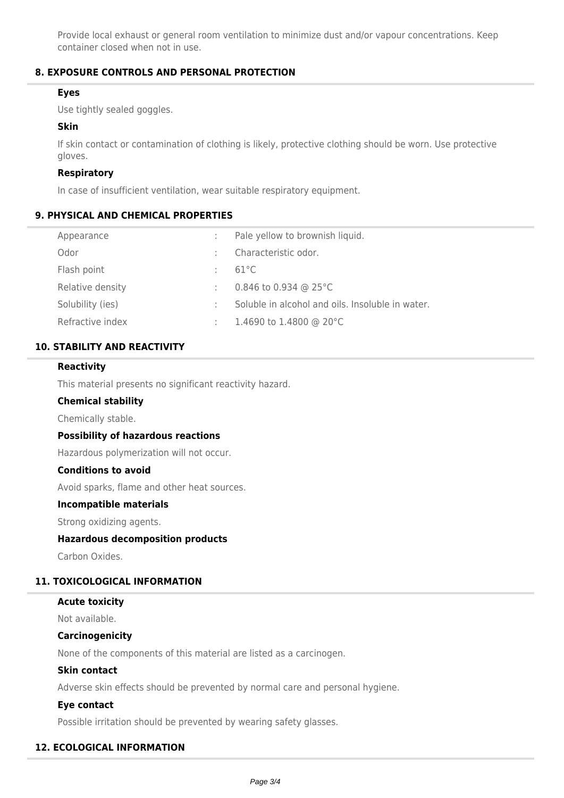Provide local exhaust or general room ventilation to minimize dust and/or vapour concentrations. Keep container closed when not in use.

## **8. EXPOSURE CONTROLS AND PERSONAL PROTECTION**

## **Eyes**

Use tightly sealed goggles.

### **Skin**

If skin contact or contamination of clothing is likely, protective clothing should be worn. Use protective gloves.

### **Respiratory**

In case of insufficient ventilation, wear suitable respiratory equipment.

### **9. PHYSICAL AND CHEMICAL PROPERTIES**

| Appearance       | Pale yellow to brownish liquid.                  |
|------------------|--------------------------------------------------|
| Odor             | Characteristic odor.                             |
| Flash point      | $61^{\circ}$ C                                   |
| Relative density | 0.846 to 0.934 @ 25 $^{\circ}$ C                 |
| Solubility (ies) | Soluble in alcohol and oils. Insoluble in water. |
| Refractive index | 1.4690 to 1.4800 @ 20 $^{\circ}$ C               |

## **10. STABILITY AND REACTIVITY**

### **Reactivity**

This material presents no significant reactivity hazard.

#### **Chemical stability**

Chemically stable.

#### **Possibility of hazardous reactions**

Hazardous polymerization will not occur.

## **Conditions to avoid**

Avoid sparks, flame and other heat sources.

#### **Incompatible materials**

Strong oxidizing agents.

## **Hazardous decomposition products**

Carbon Oxides.

## **11. TOXICOLOGICAL INFORMATION**

#### **Acute toxicity**

Not available.

#### **Carcinogenicity**

None of the components of this material are listed as a carcinogen.

### **Skin contact**

Adverse skin effects should be prevented by normal care and personal hygiene.

## **Eye contact**

Possible irritation should be prevented by wearing safety glasses.

## **12. ECOLOGICAL INFORMATION**